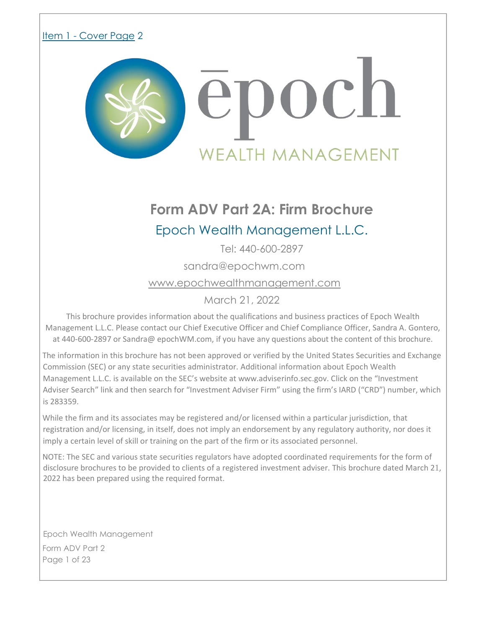## <span id="page-0-0"></span>Item 1 - Cover Page 2



# **Form ADV Part 2A: Firm Brochure**

## Epoch Wealth Management L.L.C.

Tel: 440-600-2897

sandra@epochwm.com

www.epochwealthmanagement.com

March 21, 2022

This brochure provides information about the qualifications and business practices of Epoch Wealth Management L.L.C. Please contact our Chief Executive Officer and Chief Compliance Officer, Sandra A. Gontero, at 440-600-2897 or Sandra@ epochWM.com, if you have any questions about the content of this brochure.

The information in this brochure has not been approved or verified by the United States Securities and Exchange Commission (SEC) or any state securities administrator. Additional information about Epoch Wealth Management L.L.C. is available on the SEC's website at www.adviserinfo.sec.gov. Click on the "Investment Adviser Search" link and then search for "Investment Adviser Firm" using the firm's IARD ("CRD") number, which is 283359.

While the firm and its associates may be registered and/or licensed within a particular jurisdiction, that registration and/or licensing, in itself, does not imply an endorsement by any regulatory authority, nor does it imply a certain level of skill or training on the part of the firm or its associated personnel.

NOTE: The SEC and various state securities regulators have adopted coordinated requirements for the form of disclosure brochures to be provided to clients of a registered investment adviser. This brochure dated March 21, 2022 has been prepared using the required format.

Epoch Wealth Management Form ADV Part 2 Page 1 of 23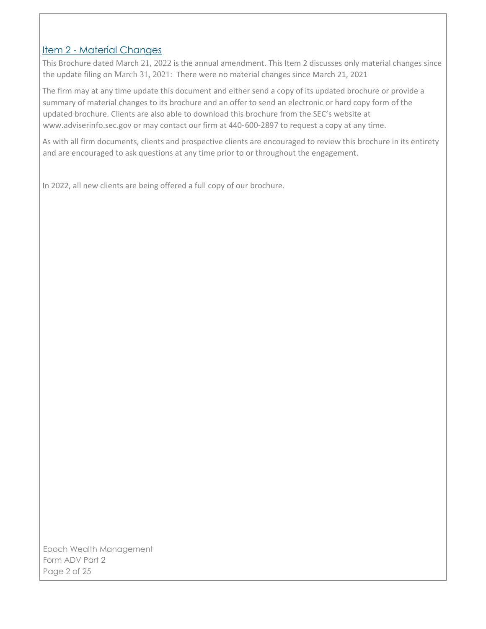### <span id="page-1-0"></span>Item 2 - Material Changes

This Brochure dated March 21, 2022 is the annual amendment. This Item 2 discusses only material changes since the update filing on March 31, 2021: There were no material changes since March 21, 2021

The firm may at any time update this document and either send a copy of its updated brochure or provide a summary of material changes to its brochure and an offer to send an electronic or hard copy form of the updated brochure. Clients are also able to download this brochure from the SEC's website at www.adviserinfo.sec.gov or may contact our firm at 440-600-2897 to request a copy at any time.

As with all firm documents, clients and prospective clients are encouraged to review this brochure in its entirety and are encouraged to ask questions at any time prior to or throughout the engagement.

In 2022, all new clients are being offered a full copy of our brochure.

Epoch Wealth Management Form ADV Part 2 Page 2 of 25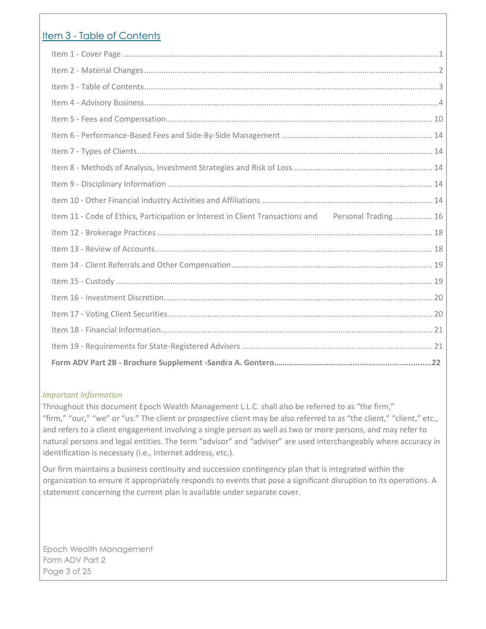## <span id="page-2-0"></span>Item 3 - Table of Contents

| Item 11 - Code of Ethics, Participation or Interest in Client Transactions and Personal Trading 16 |  |
|----------------------------------------------------------------------------------------------------|--|
|                                                                                                    |  |
|                                                                                                    |  |
|                                                                                                    |  |
|                                                                                                    |  |
|                                                                                                    |  |
|                                                                                                    |  |
|                                                                                                    |  |
|                                                                                                    |  |

#### *Important Information*

Throughout this document Epoch Wealth Management L.L.C. shall also be referred to as "the firm," "firm," "our," "we" or "us." The client or prospective client may be also referred to as "the client," "client," etc., and refers to a client engagement involving a single person as well as two or more persons, and may refer to natural persons and legal entities. The term "advisor" and "adviser" are used interchangeably where accuracy in identification is necessary (i.e., Internet address, etc.).

Our firm maintains a business continuity and succession contingency plan that is integrated within the organization to ensure it appropriately responds to events that pose a significant disruption to its operations. A statement concerning the current plan is available under separate cover.

Epoch Wealth Management Form ADV Part 2 Page 3 of 25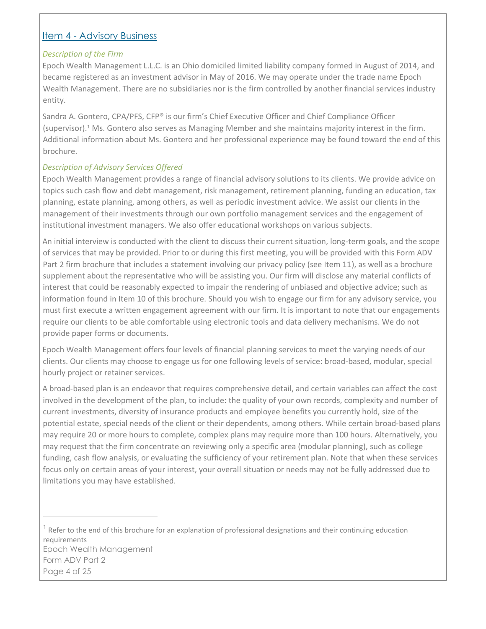## <span id="page-3-0"></span>Item 4 - Advisory Business

#### *Description of the Firm*

Epoch Wealth Management L.L.C. is an Ohio domiciled limited liability company formed in August of 2014, and became registered as an investment advisor in May of 2016. We may operate under the trade name Epoch Wealth Management. There are no subsidiaries nor is the firm controlled by another financial services industry entity.

Sandra A. Gontero, CPA/PFS, CFP® is our firm's Chief Executive Officer and Chief Compliance Officer (supervisor).<sup>1</sup> Ms. Gontero also serves as Managing Member and she maintains majority interest in the firm. Additional information about Ms. Gontero and her professional experience may be found toward the end of this brochure.

#### *Description of Advisory Services Offered*

Epoch Wealth Management provides a range of financial advisory solutions to its clients. We provide advice on topics such cash flow and debt management, risk management, retirement planning, funding an education, tax planning, estate planning, among others, as well as periodic investment advice. We assist our clients in the management of their investments through our own portfolio management services and the engagement of institutional investment managers. We also offer educational workshops on various subjects.

An initial interview is conducted with the client to discuss their current situation, long-term goals, and the scope of services that may be provided. Prior to or during this first meeting, you will be provided with this Form ADV Part 2 firm brochure that includes a statement involving our privacy policy (see Item 11), as well as a brochure supplement about the representative who will be assisting you. Our firm will disclose any material conflicts of interest that could be reasonably expected to impair the rendering of unbiased and objective advice; such as information found in Item 10 of this brochure. Should you wish to engage our firm for any advisory service, you must first execute a written engagement agreement with our firm. It is important to note that our engagements require our clients to be able comfortable using electronic tools and data delivery mechanisms. We do not provide paper forms or documents.

Epoch Wealth Management offers four levels of financial planning services to meet the varying needs of our clients. Our clients may choose to engage us for one following levels of service: broad-based, modular, special hourly project or retainer services.

A broad-based plan is an endeavor that requires comprehensive detail, and certain variables can affect the cost involved in the development of the plan, to include: the quality of your own records, complexity and number of current investments, diversity of insurance products and employee benefits you currently hold, size of the potential estate, special needs of the client or their dependents, among others. While certain broad-based plans may require 20 or more hours to complete, complex plans may require more than 100 hours. Alternatively, you may request that the firm concentrate on reviewing only a specific area (modular planning), such as college funding, cash flow analysis, or evaluating the sufficiency of your retirement plan. Note that when these services focus only on certain areas of your interest, your overall situation or needs may not be fully addressed due to limitations you may have established.

Epoch Wealth Management Form ADV Part 2 Page 4 of 25  $1$  Refer to the end of this brochure for an explanation of professional designations and their continuing education requirements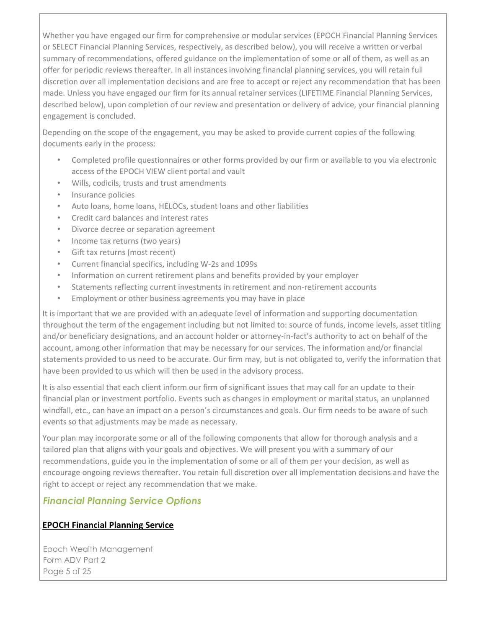Whether you have engaged our firm for comprehensive or modular services (EPOCH Financial Planning Services or SELECT Financial Planning Services, respectively, as described below), you will receive a written or verbal summary of recommendations, offered guidance on the implementation of some or all of them, as well as an offer for periodic reviews thereafter. In all instances involving financial planning services, you will retain full discretion over all implementation decisions and are free to accept or reject any recommendation that has been made. Unless you have engaged our firm for its annual retainer services (LIFETIME Financial Planning Services, described below), upon completion of our review and presentation or delivery of advice, your financial planning engagement is concluded.

Depending on the scope of the engagement, you may be asked to provide current copies of the following documents early in the process:

- Completed profile questionnaires or other forms provided by our firm or available to you via electronic access of the EPOCH VIEW client portal and vault
- Wills, codicils, trusts and trust amendments
- Insurance policies
- Auto loans, home loans, HELOCs, student loans and other liabilities
- Credit card balances and interest rates
- Divorce decree or separation agreement
- Income tax returns (two years)
- Gift tax returns (most recent)
- Current financial specifics, including W-2s and 1099s
- Information on current retirement plans and benefits provided by your employer
- Statements reflecting current investments in retirement and non-retirement accounts
- Employment or other business agreements you may have in place

It is important that we are provided with an adequate level of information and supporting documentation throughout the term of the engagement including but not limited to: source of funds, income levels, asset titling and/or beneficiary designations, and an account holder or attorney-in-fact's authority to act on behalf of the account, among other information that may be necessary for our services. The information and/or financial statements provided to us need to be accurate. Our firm may, but is not obligated to, verify the information that have been provided to us which will then be used in the advisory process.

It is also essential that each client inform our firm of significant issues that may call for an update to their financial plan or investment portfolio. Events such as changes in employment or marital status, an unplanned windfall, etc., can have an impact on a person's circumstances and goals. Our firm needs to be aware of such events so that adjustments may be made as necessary.

Your plan may incorporate some or all of the following components that allow for thorough analysis and a tailored plan that aligns with your goals and objectives. We will present you with a summary of our recommendations, guide you in the implementation of some or all of them per your decision, as well as encourage ongoing reviews thereafter. You retain full discretion over all implementation decisions and have the right to accept or reject any recommendation that we make.

## *Financial Planning Service Options*

#### **EPOCH Financial Planning Service**

Epoch Wealth Management Form ADV Part 2 Page 5 of 25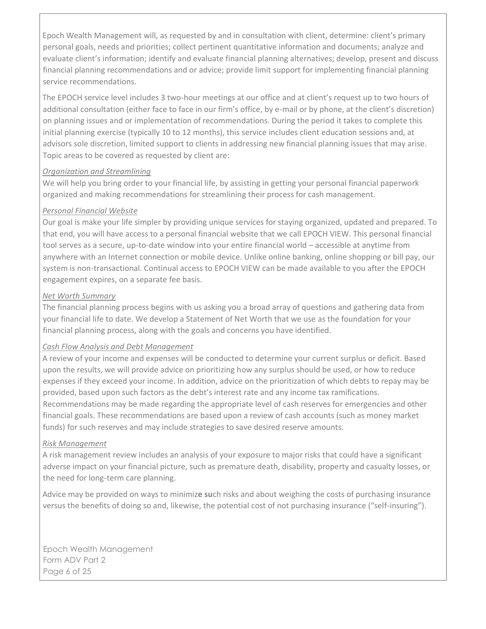Epoch Wealth Management will, as requested by and in consultation with client, determine: client's primary personal goals, needs and priorities; collect pertinent quantitative information and documents; analyze and evaluate client's information; identify and evaluate financial planning alternatives; develop, present and discuss financial planning recommendations and or advice; provide limit support for implementing financial planning service recommendations.

The EPOCH service level includes 3 two-hour meetings at our office and at client's request up to two hours of additional consultation (either face to face in our firm's office, by e-mail or by phone, at the client's discretion) on planning issues and or implementation of recommendations. During the period it takes to complete this initial planning exercise (typically 10 to 12 months), this service includes client education sessions and, at advisors sole discretion, limited support to clients in addressing new financial planning issues that may arise. Topic areas to be covered as requested by client are:

#### *Organization and Streamlining*

We will help you bring order to your financial life, by assisting in getting your personal financial paperwork organized and making recommendations for streamlining their process for cash management.

#### *Personal Financial Website*

Our goal is make your life simpler by providing unique services for staying organized, updated and prepared. To that end, you will have access to a personal financial website that we call EPOCH VIEW. This personal financial tool serves as a secure, up-to-date window into your entire financial world – accessible at anytime from anywhere with an Internet connection or mobile device. Unlike online banking, online shopping or bill pay, our system is non-transactional. Continual access to EPOCH VIEW can be made available to you after the EPOCH engagement expires, on a separate fee basis.

#### *Net Worth Summary*

The financial planning process begins with us asking you a broad array of questions and gathering data from your financial life to date. We develop a Statement of Net Worth that we use as the foundation for your financial planning process, along with the goals and concerns you have identified.

#### *Cash Flow Analysis and Debt Management*

A review of your income and expenses will be conducted to determine your current surplus or deficit. Based upon the results, we will provide advice on prioritizing how any surplus should be used, or how to reduce expenses if they exceed your income. In addition, advice on the prioritization of which debts to repay may be provided, based upon such factors as the debt's interest rate and any income tax ramifications. Recommendations may be made regarding the appropriate level of cash reserves for emergencies and other financial goals. These recommendations are based upon a review of cash accounts (such as money market funds) for such reserves and may include strategies to save desired reserve amounts.

#### *Risk Management*

A risk management review includes an analysis of your exposure to major risks that could have a significant adverse impact on your financial picture, such as premature death, disability, property and casualty losses, or the need for long-term care planning.

Advice may be provided on ways to minimiz**e su**ch risks and about weighing the costs of purchasing insurance versus the benefits of doing so and, likewise, the potential cost of not purchasing insurance ("self-insuring").

Epoch Wealth Management Form ADV Part 2 Page 6 of 25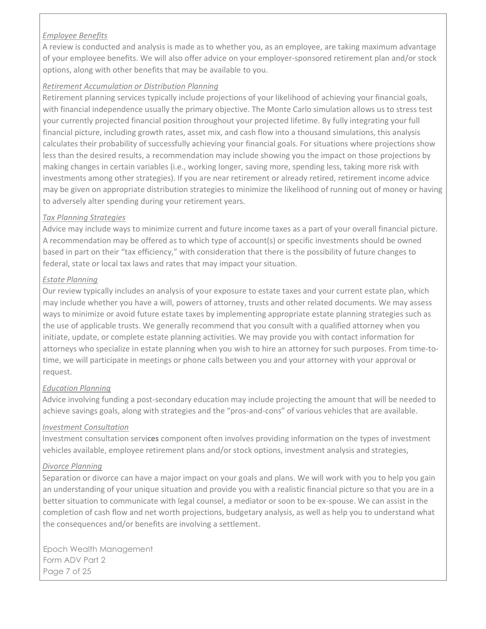#### *Employee Benefits*

A review is conducted and analysis is made as to whether you, as an employee, are taking maximum advantage of your employee benefits. We will also offer advice on your employer-sponsored retirement plan and/or stock options, along with other benefits that may be available to you.

#### *Retirement Accumulation or Distribution Planning*

Retirement planning services typically include projections of your likelihood of achieving your financial goals, with financial independence usually the primary objective. The Monte Carlo simulation allows us to stress test your currently projected financial position throughout your projected lifetime. By fully integrating your full financial picture, including growth rates, asset mix, and cash flow into a thousand simulations, this analysis calculates their probability of successfully achieving your financial goals. For situations where projections show less than the desired results, a recommendation may include showing you the impact on those projections by making changes in certain variables (i.e., working longer, saving more, spending less, taking more risk with investments among other strategies). If you are near retirement or already retired, retirement income advice may be given on appropriate distribution strategies to minimize the likelihood of running out of money or having to adversely alter spending during your retirement years.

#### *Tax Planning Strategies*

Advice may include ways to minimize current and future income taxes as a part of your overall financial picture. A recommendation may be offered as to which type of account(s) or specific investments should be owned based in part on their "tax efficiency," with consideration that there is the possibility of future changes to federal, state or local tax laws and rates that may impact your situation.

#### *Estate Planning*

Our review typically includes an analysis of your exposure to estate taxes and your current estate plan, which may include whether you have a will, powers of attorney, trusts and other related documents. We may assess ways to minimize or avoid future estate taxes by implementing appropriate estate planning strategies such as the use of applicable trusts. We generally recommend that you consult with a qualified attorney when you initiate, update, or complete estate planning activities. We may provide you with contact information for attorneys who specialize in estate planning when you wish to hire an attorney for such purposes. From time-totime, we will participate in meetings or phone calls between you and your attorney with your approval or request.

#### *Education Planning*

Advice involving funding a post-secondary education may include projecting the amount that will be needed to achieve savings goals, along with strategies and the "pros-and-cons" of various vehicles that are available.

#### *Investment Consultation*

Investment consultation servi**ces** component often involves providing information on the types of investment vehicles available, employee retirement plans and/or stock options, investment analysis and strategies,

#### *Divorce Planning*

Separation or divorce can have a major impact on your goals and plans. We will work with you to help you gain an understanding of your unique situation and provide you with a realistic financial picture so that you are in a better situation to communicate with legal counsel, a mediator or soon to be ex-spouse. We can assist in the completion of cash flow and net worth projections, budgetary analysis, as well as help you to understand what the consequences and/or benefits are involving a settlement.

Epoch Wealth Management Form ADV Part 2 Page 7 of 25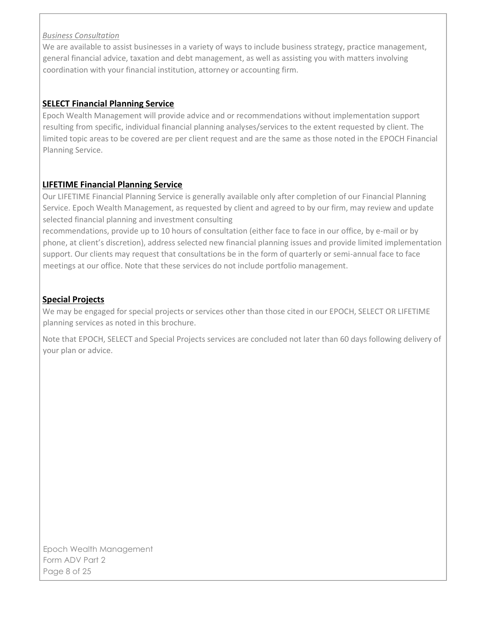#### *Business Consultation*

We are available to assist businesses in a variety of ways to include business strategy, practice management, general financial advice, taxation and debt management, as well as assisting you with matters involving coordination with your financial institution, attorney or accounting firm.

#### **SELECT Financial Planning Service**

Epoch Wealth Management will provide advice and or recommendations without implementation support resulting from specific, individual financial planning analyses/services to the extent requested by client. The limited topic areas to be covered are per client request and are the same as those noted in the EPOCH Financial Planning Service.

#### **LIFETIME Financial Planning Service**

Our LIFETIME Financial Planning Service is generally available only after completion of our Financial Planning Service. Epoch Wealth Management, as requested by client and agreed to by our firm, may review and update selected financial planning and investment consulting

recommendations, provide up to 10 hours of consultation (either face to face in our office, by e-mail or by phone, at client's discretion), address selected new financial planning issues and provide limited implementation support. Our clients may request that consultations be in the form of quarterly or semi-annual face to face meetings at our office. Note that these services do not include portfolio management.

#### **Special Projects**

We may be engaged for special projects or services other than those cited in our EPOCH, SELECT OR LIFETIME planning services as noted in this brochure.

Note that EPOCH, SELECT and Special Projects services are concluded not later than 60 days following delivery of your plan or advice.

Epoch Wealth Management Form ADV Part 2 Page 8 of 25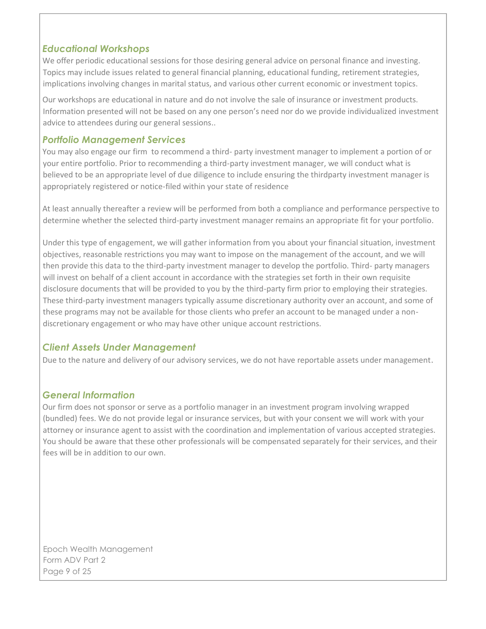## *Educational Workshops*

We offer periodic educational sessions for those desiring general advice on personal finance and investing. Topics may include issues related to general financial planning, educational funding, retirement strategies, implications involving changes in marital status, and various other current economic or investment topics.

Our workshops are educational in nature and do not involve the sale of insurance or investment products. Information presented will not be based on any one person's need nor do we provide individualized investment advice to attendees during our general sessions..

### *Portfolio Management Services*

You may also engage our firm to recommend a third- party investment manager to implement a portion of or your entire portfolio. Prior to recommending a third-party investment manager, we will conduct what is believed to be an appropriate level of due diligence to include ensuring the thirdparty investment manager is appropriately registered or notice-filed within your state of residence

At least annually thereafter a review will be performed from both a compliance and performance perspective to determine whether the selected third-party investment manager remains an appropriate fit for your portfolio.

Under this type of engagement, we will gather information from you about your financial situation, investment objectives, reasonable restrictions you may want to impose on the management of the account, and we will then provide this data to the third-party investment manager to develop the portfolio. Third- party managers will invest on behalf of a client account in accordance with the strategies set forth in their own requisite disclosure documents that will be provided to you by the third-party firm prior to employing their strategies. These third-party investment managers typically assume discretionary authority over an account, and some of these programs may not be available for those clients who prefer an account to be managed under a nondiscretionary engagement or who may have other unique account restrictions.

## *Client Assets Under Management*

Due to the nature and delivery of our advisory services, we do not have reportable assets under management.

## *General Information*

Our firm does not sponsor or serve as a portfolio manager in an investment program involving wrapped (bundled) fees. We do not provide legal or insurance services, but with your consent we will work with your attorney or insurance agent to assist with the coordination and implementation of various accepted strategies. You should be aware that these other professionals will be compensated separately for their services, and their fees will be in addition to our own.

Epoch Wealth Management Form ADV Part 2 Page 9 of 25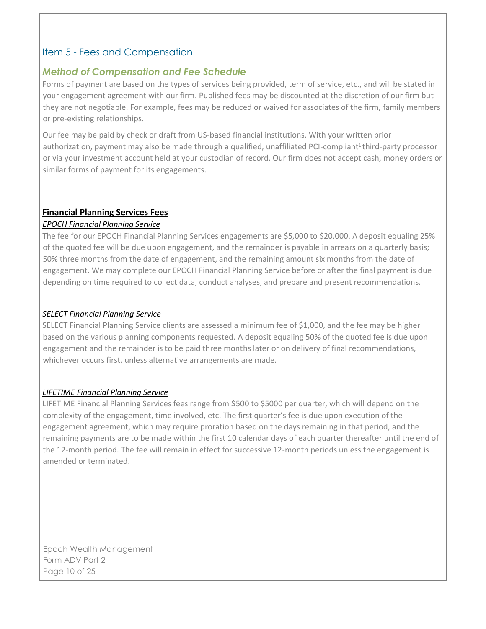## <span id="page-9-0"></span>Item 5 - Fees and Compensation

### *Method of Compensation and Fee Schedule*

Forms of payment are based on the types of services being provided, term of service, etc., and will be stated in your engagement agreement with our firm. Published fees may be discounted at the discretion of our firm but they are not negotiable. For example, fees may be reduced or waived for associates of the firm, family members or pre-existing relationships.

Our fee may be paid by check or draft from US-based financial institutions. With your written prior authorization, payment may also be made through a qualified, unaffiliated PCI-compliant<sup>1</sup> third-party processor or via your investment account held at your custodian of record. Our firm does not accept cash, money orders or similar forms of payment for its engagements.

#### **Financial Planning Services Fees**

#### *EPOCH Financial Planning Service*

The fee for our EPOCH Financial Planning Services engagements are \$5,000 to \$20.000. A deposit equaling 25% of the quoted fee will be due upon engagement, and the remainder is payable in arrears on a quarterly basis; 50% three months from the date of engagement, and the remaining amount six months from the date of engagement. We may complete our EPOCH Financial Planning Service before or after the final payment is due depending on time required to collect data, conduct analyses, and prepare and present recommendations.

#### *SELECT Financial Planning Service*

SELECT Financial Planning Service clients are assessed a minimum fee of \$1,000, and the fee may be higher based on the various planning components requested. A deposit equaling 50% of the quoted fee is due upon engagement and the remainder is to be paid three months later or on delivery of final recommendations, whichever occurs first, unless alternative arrangements are made.

#### *LIFETIME Financial Planning Service*

LIFETIME Financial Planning Services fees range from \$500 to \$5000 per quarter, which will depend on the complexity of the engagement, time involved, etc. The first quarter's fee is due upon execution of the engagement agreement, which may require proration based on the days remaining in that period, and the remaining payments are to be made within the first 10 calendar days of each quarter thereafter until the end of the 12-month period. The fee will remain in effect for successive 12-month periods unless the engagement is amended or terminated.

Epoch Wealth Management Form ADV Part 2 Page 10 of 25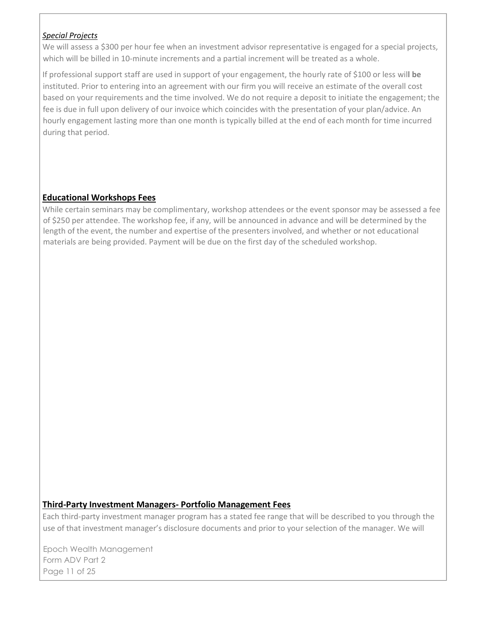#### *Special Projects*

We will assess a \$300 per hour fee when an investment advisor representative is engaged for a special projects, which will be billed in 10-minute increments and a partial increment will be treated as a whole.

If professional support staff are used in support of your engagement, the hourly rate of \$100 or less wil**l be** instituted. Prior to entering into an agreement with our firm you will receive an estimate of the overall cost based on your requirements and the time involved. We do not require a deposit to initiate the engagement; the fee is due in full upon delivery of our invoice which coincides with the presentation of your plan/advice. An hourly engagement lasting more than one month is typically billed at the end of each month for time incurred during that period.

#### **Educational Workshops Fees**

While certain seminars may be complimentary, workshop attendees or the event sponsor may be assessed a fee of \$250 per attendee. The workshop fee, if any, will be announced in advance and will be determined by the length of the event, the number and expertise of the presenters involved, and whether or not educational materials are being provided. Payment will be due on the first day of the scheduled workshop.

#### **Third-Party Investment Managers- Portfolio Management Fees**

Each third-party investment manager program has a stated fee range that will be described to you through the use of that investment manager's disclosure documents and prior to your selection of the manager. We will

Epoch Wealth Management Form ADV Part 2 Page 11 of 25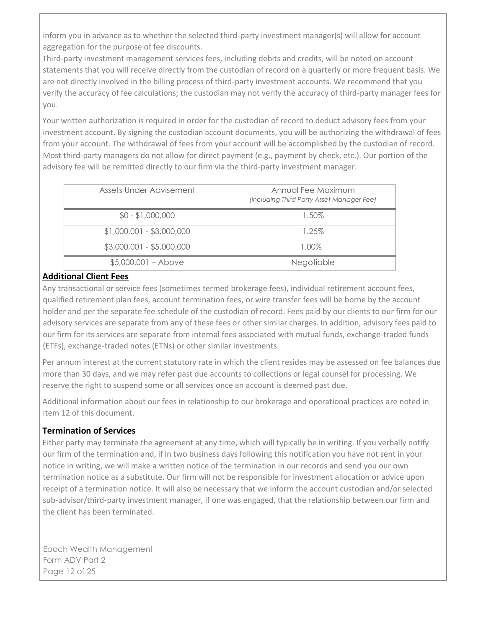inform you in advance as to whether the selected third-party investment manager(s) will allow for account aggregation for the purpose of fee discounts.

Third-party investment management services fees, including debits and credits, will be noted on account statements that you will receive directly from the custodian of record on a quarterly or more frequent basis. We are not directly involved in the billing process of third-party investment accounts. We recommend that you verify the accuracy of fee calculations; the custodian may not verify the accuracy of third-party manager fees for you.

Your written authorization is required in order for the custodian of record to deduct advisory fees from your investment account. By signing the custodian account documents, you will be authorizing the withdrawal of fees from your account. The withdrawal of fees from your account will be accomplished by the custodian of record. Most third-party managers do not allow for direct payment (e.g., payment by check, etc.). Our portion of the advisory fee will be remitted directly to our firm via the third-party investment manager.

| Assets Under Advisement<br>Annual Fee Maximum<br>(including Third Party Asset Manager Fee)<br>$$0 - $1,000,000$<br>1.50%<br>$$1,000,001 - $3,000,000$<br>1.25%<br>$$3,000,001 - $5,000,000$<br>1.00%<br>$$5,000,001 - Above$<br><b>Negotiable</b> |  |
|---------------------------------------------------------------------------------------------------------------------------------------------------------------------------------------------------------------------------------------------------|--|
|                                                                                                                                                                                                                                                   |  |
|                                                                                                                                                                                                                                                   |  |
|                                                                                                                                                                                                                                                   |  |
|                                                                                                                                                                                                                                                   |  |
|                                                                                                                                                                                                                                                   |  |

#### **Additional Client Fees**

Any transactional or service fees (sometimes termed brokerage fees), individual retirement account fees, qualified retirement plan fees, account termination fees, or wire transfer fees will be borne by the account holder and per the separate fee schedule of the custodian of record. Fees paid by our clients to our firm for our advisory services are separate from any of these fees or other similar charges. In addition, advisory fees paid to our firm for its services are separate from internal fees associated with mutual funds, exchange-traded funds (ETFs), exchange-traded notes (ETNs) or other similar investments.

Per annum interest at the current statutory rate in which the client resides may be assessed on fee balances due more than 30 days, and we may refer past due accounts to collections or legal counsel for processing. We reserve the right to suspend some or all services once an account is deemed past due.

Additional information about our fees in relationship to our brokerage and operational practices are noted in Item 12 of this document.

## **Termination of Services**

Either party may terminate the agreement at any time, which will typically be in writing. If you verbally notify our firm of the termination and, if in two business days following this notification you have not sent in your notice in writing, we will make a written notice of the termination in our records and send you our own termination notice as a substitute. Our firm will not be responsible for investment allocation or advice upon receipt of a termination notice. It will also be necessary that we inform the account custodian and/or selected sub-advisor/third-party investment manager, if one was engaged, that the relationship between our firm and the client has been terminated.

Epoch Wealth Management Form ADV Part 2 Page 12 of 25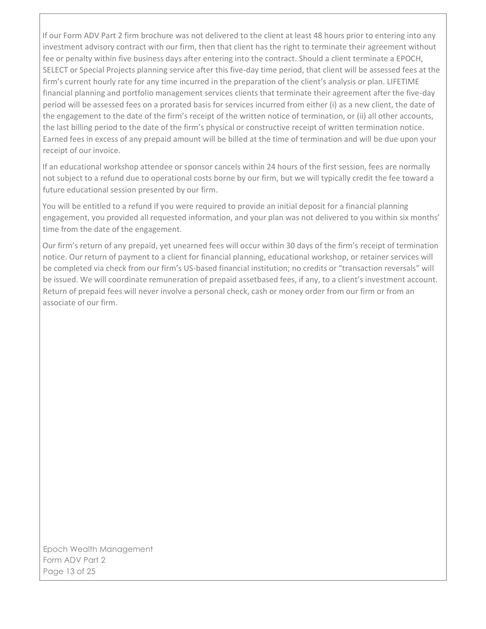If our Form ADV Part 2 firm brochure was not delivered to the client at least 48 hours prior to entering into any investment advisory contract with our firm, then that client has the right to terminate their agreement without fee or penalty within five business days after entering into the contract. Should a client terminate a EPOCH, SELECT or Special Projects planning service after this five-day time period, that client will be assessed fees at the firm's current hourly rate for any time incurred in the preparation of the client's analysis or plan. LIFETIME financial planning and portfolio management services clients that terminate their agreement after the five-day period will be assessed fees on a prorated basis for services incurred from either (i) as a new client, the date of the engagement to the date of the firm's receipt of the written notice of termination, or (ii) all other accounts, the last billing period to the date of the firm's physical or constructive receipt of written termination notice. Earned fees in excess of any prepaid amount will be billed at the time of termination and will be due upon your receipt of our invoice.

If an educational workshop attendee or sponsor cancels within 24 hours of the first session, fees are normally not subject to a refund due to operational costs borne by our firm, but we will typically credit the fee toward a future educational session presented by our firm.

You will be entitled to a refund if you were required to provide an initial deposit for a financial planning engagement, you provided all requested information, and your plan was not delivered to you within six months' time from the date of the engagement.

Our firm's return of any prepaid, yet unearned fees will occur within 30 days of the firm's receipt of termination notice. Our return of payment to a client for financial planning, educational workshop, or retainer services will be completed via check from our firm's US-based financial institution; no credits or "transaction reversals" will be issued. We will coordinate remuneration of prepaid assetbased fees, if any, to a client's investment account. Return of prepaid fees will never involve a personal check, cash or money order from our firm or from an associate of our firm.

Epoch Wealth Management Form ADV Part 2 Page 13 of 25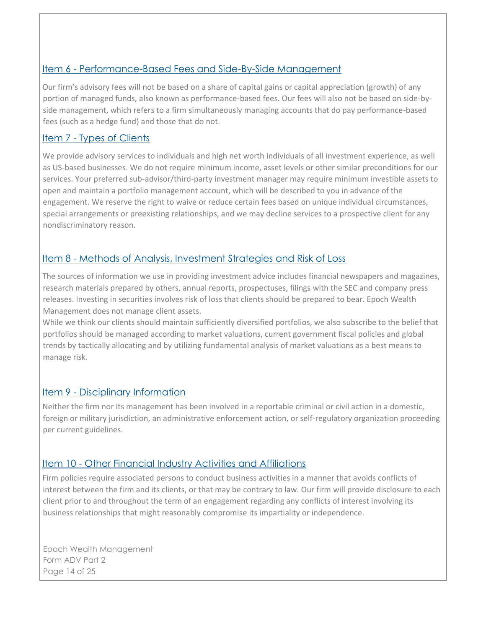## <span id="page-13-0"></span>Item 6 - Performance-Based Fees and Side-By-Side Management

Our firm's advisory fees will not be based on a share of capital gains or capital appreciation (growth) of any portion of managed funds, also known as performance-based fees. Our fees will also not be based on side-byside management, which refers to a firm simultaneously managing accounts that do pay performance-based fees (such as a hedge fund) and those that do not.

## <span id="page-13-1"></span>Item 7 - Types of Clients

We provide advisory services to individuals and high net worth individuals of all investment experience, as well as US-based businesses. We do not require minimum income, asset levels or other similar preconditions for our services. Your preferred sub-advisor/third-party investment manager may require minimum investible assets to open and maintain a portfolio management account, which will be described to you in advance of the engagement. We reserve the right to waive or reduce certain fees based on unique individual circumstances, special arrangements or preexisting relationships, and we may decline services to a prospective client for any nondiscriminatory reason.

## <span id="page-13-2"></span>Item 8 - Methods of Analysis, Investment Strategies and Risk of Loss

The sources of information we use in providing investment advice includes financial newspapers and magazines, research materials prepared by others, annual reports, prospectuses, filings with the SEC and company press releases. Investing in securities involves risk of loss that clients should be prepared to bear. Epoch Wealth Management does not manage client assets.

While we think our clients should maintain sufficiently diversified portfolios, we also subscribe to the belief that portfolios should be managed according to market valuations, current government fiscal policies and global trends by tactically allocating and by utilizing fundamental analysis of market valuations as a best means to manage risk.

## <span id="page-13-3"></span>Item 9 - Disciplinary Information

Neither the firm nor its management has been involved in a reportable criminal or civil action in a domestic, foreign or military jurisdiction, an administrative enforcement action, or self-regulatory organization proceeding per current guidelines.

## <span id="page-13-4"></span>Item 10 - Other Financial Industry Activities and Affiliations

Firm policies require associated persons to conduct business activities in a manner that avoids conflicts of interest between the firm and its clients, or that may be contrary to law. Our firm will provide disclosure to each client prior to and throughout the term of an engagement regarding any conflicts of interest involving its business relationships that might reasonably compromise its impartiality or independence.

Epoch Wealth Management Form ADV Part 2 Page 14 of 25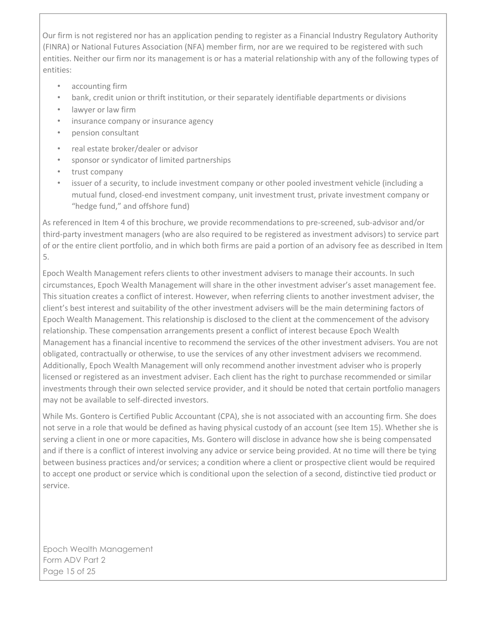Our firm is not registered nor has an application pending to register as a Financial Industry Regulatory Authority (FINRA) or National Futures Association (NFA) member firm, nor are we required to be registered with such entities. Neither our firm nor its management is or has a material relationship with any of the following types of entities:

- accounting firm
- bank, credit union or thrift institution, or their separately identifiable departments or divisions
- lawyer or law firm
- insurance company or insurance agency
- pension consultant
- real estate broker/dealer or advisor
- sponsor or syndicator of limited partnerships
- trust company
- issuer of a security, to include investment company or other pooled investment vehicle (including a mutual fund, closed-end investment company, unit investment trust, private investment company or "hedge fund," and offshore fund)

As referenced in Item 4 of this brochure, we provide recommendations to pre-screened, sub-advisor and/or third-party investment managers (who are also required to be registered as investment advisors) to service part of or the entire client portfolio, and in which both firms are paid a portion of an advisory fee as described in Item 5.

Epoch Wealth Management refers clients to other investment advisers to manage their accounts. In such circumstances, Epoch Wealth Management will share in the other investment adviser's asset management fee. This situation creates a conflict of interest. However, when referring clients to another investment adviser, the client's best interest and suitability of the other investment advisers will be the main determining factors of Epoch Wealth Management. This relationship is disclosed to the client at the commencement of the advisory relationship. These compensation arrangements present a conflict of interest because Epoch Wealth Management has a financial incentive to recommend the services of the other investment advisers. You are not obligated, contractually or otherwise, to use the services of any other investment advisers we recommend. Additionally, Epoch Wealth Management will only recommend another investment adviser who is properly licensed or registered as an investment adviser. Each client has the right to purchase recommended or similar investments through their own selected service provider, and it should be noted that certain portfolio managers may not be available to self-directed investors.

While Ms. Gontero is Certified Public Accountant (CPA), she is not associated with an accounting firm. She does not serve in a role that would be defined as having physical custody of an account (see Item 15). Whether she is serving a client in one or more capacities, Ms. Gontero will disclose in advance how she is being compensated and if there is a conflict of interest involving any advice or service being provided. At no time will there be tying between business practices and/or services; a condition where a client or prospective client would be required to accept one product or service which is conditional upon the selection of a second, distinctive tied product or service.

Epoch Wealth Management Form ADV Part 2 Page 15 of 25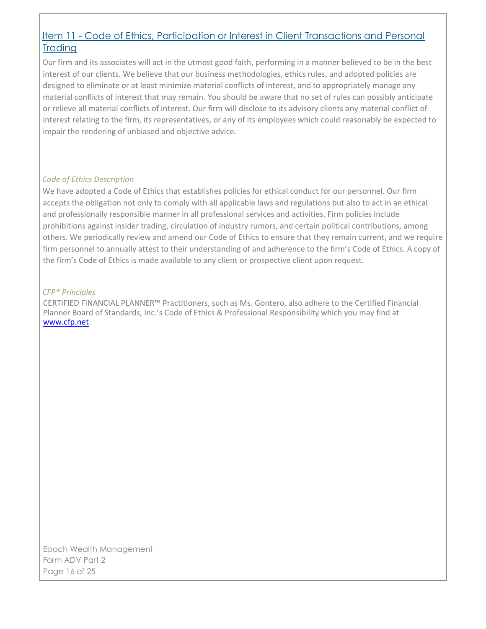## <span id="page-15-0"></span>Item 11 - Code of Ethics, Participation or Interest in Client Transactions and Personal **Trading**

Our firm and its associates will act in the utmost good faith, performing in a manner believed to be in the best interest of our clients. We believe that our business methodologies, ethics rules, and adopted policies are designed to eliminate or at least minimize material conflicts of interest, and to appropriately manage any material conflicts of interest that may remain. You should be aware that no set of rules can possibly anticipate or relieve all material conflicts of interest. Our firm will disclose to its advisory clients any material conflict of interest relating to the firm, its representatives, or any of its employees which could reasonably be expected to impair the rendering of unbiased and objective advice.

#### *Code of Ethics Description*

We have adopted a Code of Ethics that establishes policies for ethical conduct for our personnel. Our firm accepts the obligation not only to comply with all applicable laws and regulations but also to act in an ethical and professionally responsible manner in all professional services and activities. Firm policies include prohibitions against insider trading, circulation of industry rumors, and certain political contributions, among others. We periodically review and amend our Code of Ethics to ensure that they remain current, and we require firm personnel to annually attest to their understanding of and adherence to the firm's Code of Ethics. A copy of the firm's Code of Ethics is made available to any client or prospective client upon request.

#### *CFP® Principles*

CERTIFIED FINANCIAL PLANNER™ Practitioners, such as Ms. Gontero, also adhere to the Certified Financial Planner Board of Standards, Inc.'s Code of Ethics & Professional Responsibility which you may find at www.cfp.net.

Epoch Wealth Management Form ADV Part 2 Page 16 of 25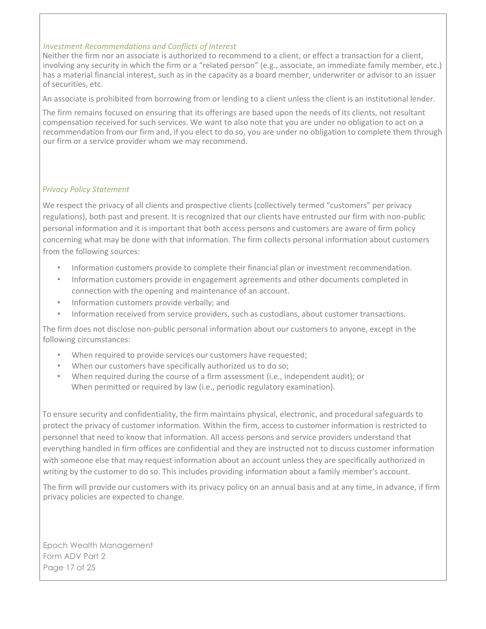#### *Investment Recommendations and Conflicts of Interest*

Neither the firm nor an associate is authorized to recommend to a client, or effect a transaction for a client, involving any security in which the firm or a "related person" (e.g., associate, an immediate family member, etc.) has a material financial interest, such as in the capacity as a board member, underwriter or advisor to an issuer of securities, etc.

An associate is prohibited from borrowing from or lending to a client unless the client is an institutional lender.

The firm remains focused on ensuring that its offerings are based upon the needs of its clients, not resultant compensation received for such services. We want to also note that you are under no obligation to act on a recommendation from our firm and, if you elect to do so, you are under no obligation to complete them through our firm or a service provider whom we may recommend.

#### *Privacy Policy Statement*

We respect the privacy of all clients and prospective clients (collectively termed "customers" per privacy regulations), both past and present. It is recognized that our clients have entrusted our firm with non-public personal information and it is important that both access persons and customers are aware of firm policy concerning what may be done with that information. The firm collects personal information about customers from the following sources:

- Information customers provide to complete their financial plan or investment recommendation.
- Information customers provide in engagement agreements and other documents completed in connection with the opening and maintenance of an account.
- Information customers provide verbally; and
- Information received from service providers, such as custodians, about customer transactions.

The firm does not disclose non-public personal information about our customers to anyone, except in the following circumstances:

- When required to provide services our customers have requested;
- When our customers have specifically authorized us to do so;
- When required during the course of a firm assessment (i.e., independent audit); or When permitted or required by law (i.e., periodic regulatory examination).

To ensure security and confidentiality, the firm maintains physical, electronic, and procedural safeguards to protect the privacy of customer information. Within the firm, access to customer information is restricted to personnel that need to know that information. All access persons and service providers understand that everything handled in firm offices are confidential and they are instructed not to discuss customer information with someone else that may request information about an account unless they are specifically authorized in writing by the customer to do so. This includes providing information about a family member's account.

The firm will provide our customers with its privacy policy on an annual basis and at any time, in advance, if firm privacy policies are expected to change.

Epoch Wealth Management Form ADV Part 2 Page 17 of 25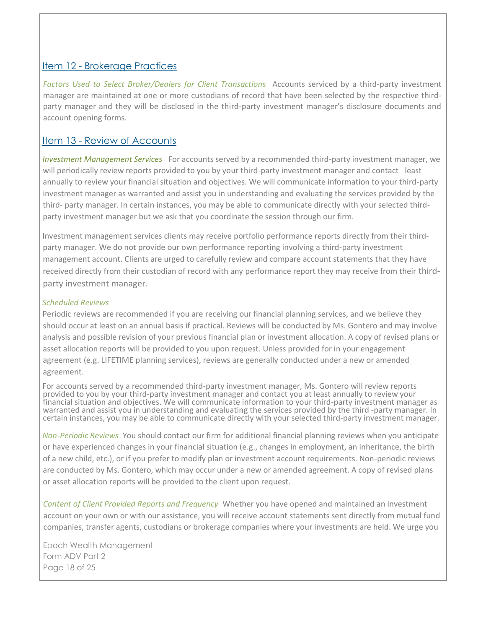#### <span id="page-17-0"></span>Item 12 - Brokerage Practices

*Factors Used to Select Broker/Dealers for Client Transactions* Accounts serviced by a third-party investment manager are maintained at one or more custodians of record that have been selected by the respective thirdparty manager and they will be disclosed in the third-party investment manager's disclosure documents and account opening forms.

## <span id="page-17-1"></span>Item 13 - Review of Accounts

*Investment Management Services* For accounts served by a recommended third-party investment manager, we will periodically review reports provided to you by your third-party investment manager and contact least annually to review your financial situation and objectives. We will communicate information to your third-party investment manager as warranted and assist you in understanding and evaluating the services provided by the third- party manager. In certain instances, you may be able to communicate directly with your selected thirdparty investment manager but we ask that you coordinate the session through our firm.

Investment management services clients may receive portfolio performance reports directly from their thirdparty manager. We do not provide our own performance reporting involving a third-party investment management account. Clients are urged to carefully review and compare account statements that they have received directly from their custodian of record with any performance report they may receive from their thirdparty investment manager.

#### *Scheduled Reviews*

Periodic reviews are recommended if you are receiving our financial planning services, and we believe they should occur at least on an annual basis if practical. Reviews will be conducted by Ms. Gontero and may involve analysis and possible revision of your previous financial plan or investment allocation. A copy of revised plans or asset allocation reports will be provided to you upon request. Unless provided for in your engagement agreement (e.g. LIFETIME planning services), reviews are generally conducted under a new or amended agreement.

For accounts served by a recommended third-party investment manager, Ms. Gontero will review reports provided to you by your third-party investment manager and contact you at least annually to review your financial situation and objectives. We will communicate information to your third-party investment manager as warranted and assist you in understanding and evaluating the services provided by the third -party manager. In certain instances, you may be able to communicate directly with your selected third-party investment manager.

*Non-Periodic Reviews* You should contact our firm for additional financial planning reviews when you anticipate or have experienced changes in your financial situation (e.g., changes in employment, an inheritance, the birth of a new child, etc.), or if you prefer to modify plan or investment account requirements. Non-periodic reviews are conducted by Ms. Gontero, which may occur under a new or amended agreement. A copy of revised plans or asset allocation reports will be provided to the client upon request.

*Content of Client Provided Reports and Frequency* Whether you have opened and maintained an investment account on your own or with our assistance, you will receive account statements sent directly from mutual fund companies, transfer agents, custodians or brokerage companies where your investments are held. We urge you

Epoch Wealth Management Form ADV Part 2 Page 18 of 25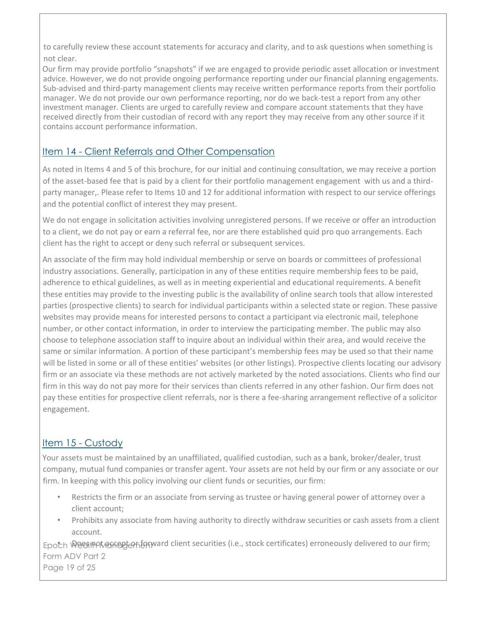to carefully review these account statements for accuracy and clarity, and to ask questions when something is not clear.

Our firm may provide portfolio "snapshots" if we are engaged to provide periodic asset allocation or investment advice. However, we do not provide ongoing performance reporting under our financial planning engagements. Sub-advised and third-party management clients may receive written performance reports from their portfolio manager. We do not provide our own performance reporting, nor do we back-test a report from any other investment manager. Clients are urged to carefully review and compare account statements that they have received directly from their custodian of record with any report they may receive from any other source if it contains account performance information.

## <span id="page-18-0"></span>Item 14 - Client Referrals and Other Compensation

As noted in Items 4 and 5 of this brochure, for our initial and continuing consultation, we may receive a portion of the asset-based fee that is paid by a client for their portfolio management engagement with us and a thirdparty manager,. Please refer to Items 10 and 12 for additional information with respect to our service offerings and the potential conflict of interest they may present.

We do not engage in solicitation activities involving unregistered persons. If we receive or offer an introduction to a client, we do not pay or earn a referral fee, nor are there established quid pro quo arrangements. Each client has the right to accept or deny such referral or subsequent services.

An associate of the firm may hold individual membership or serve on boards or committees of professional industry associations. Generally, participation in any of these entities require membership fees to be paid, adherence to ethical guidelines, as well as in meeting experiential and educational requirements. A benefit these entities may provide to the investing public is the availability of online search tools that allow interested parties (prospective clients) to search for individual participants within a selected state or region. These passive websites may provide means for interested persons to contact a participant via electronic mail, telephone number, or other contact information, in order to interview the participating member. The public may also choose to telephone association staff to inquire about an individual within their area, and would receive the same or similar information. A portion of these participant's membership fees may be used so that their name will be listed in some or all of these entities' websites (or other listings). Prospective clients locating our advisory firm or an associate via these methods are not actively marketed by the noted associations. Clients who find our firm in this way do not pay more for their services than clients referred in any other fashion. Our firm does not pay these entities for prospective client referrals, nor is there a fee-sharing arrangement reflective of a solicitor engagement.

## <span id="page-18-1"></span>Item 15 - Custody

Your assets must be maintained by an unaffiliated, qualified custodian, such as a bank, broker/dealer, trust company, mutual fund companies or transfer agent. Your assets are not held by our firm or any associate or our firm. In keeping with this policy involving our client funds or securities, our firm:

- Restricts the firm or an associate from serving as trustee or having general power of attorney over a client account;
- Prohibits any associate from having authority to directly withdraw securities or cash assets from a client account.

Epoch Wees mot anagement of the not interpretations (i.e., stock certificates) erroneously delivered to our firm; Form ADV Part 2 Page 19 of 25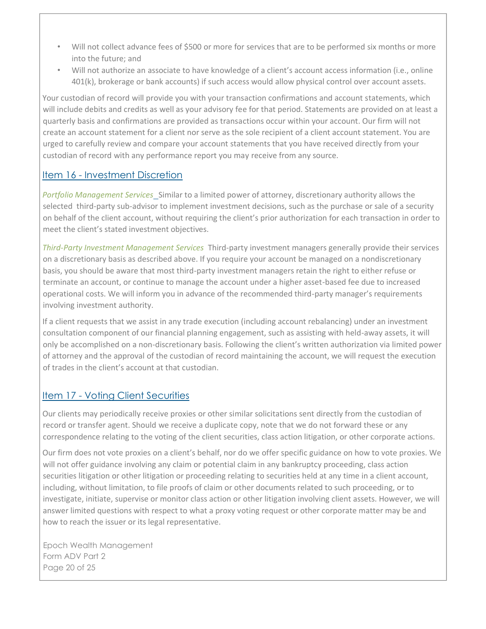- Will not collect advance fees of \$500 or more for services that are to be performed six months or more into the future; and
- Will not authorize an associate to have knowledge of a client's account access information (i.e., online 401(k), brokerage or bank accounts) if such access would allow physical control over account assets.

Your custodian of record will provide you with your transaction confirmations and account statements, which will include debits and credits as well as your advisory fee for that period. Statements are provided on at least a quarterly basis and confirmations are provided as transactions occur within your account. Our firm will not create an account statement for a client nor serve as the sole recipient of a client account statement. You are urged to carefully review and compare your account statements that you have received directly from your custodian of record with any performance report you may receive from any source.

## <span id="page-19-0"></span>Item 16 - Investment Discretion

*Portfolio Management Services* Similar to a limited power of attorney, discretionary authority allows the selected third-party sub-advisor to implement investment decisions, such as the purchase or sale of a security on behalf of the client account, without requiring the client's prior authorization for each transaction in order to meet the client's stated investment objectives.

*Third-Party Investment Management Services* Third-party investment managers generally provide their services on a discretionary basis as described above. If you require your account be managed on a nondiscretionary basis, you should be aware that most third-party investment managers retain the right to either refuse or terminate an account, or continue to manage the account under a higher asset-based fee due to increased operational costs. We will inform you in advance of the recommended third-party manager's requirements involving investment authority.

If a client requests that we assist in any trade execution (including account rebalancing) under an investment consultation component of our financial planning engagement, such as assisting with held-away assets, it will only be accomplished on a non-discretionary basis. Following the client's written authorization via limited power of attorney and the approval of the custodian of record maintaining the account, we will request the execution of trades in the client's account at that custodian.

## <span id="page-19-1"></span>Item 17 - Voting Client Securities

Our clients may periodically receive proxies or other similar solicitations sent directly from the custodian of record or transfer agent. Should we receive a duplicate copy, note that we do not forward these or any correspondence relating to the voting of the client securities, class action litigation, or other corporate actions.

Our firm does not vote proxies on a client's behalf, nor do we offer specific guidance on how to vote proxies. We will not offer guidance involving any claim or potential claim in any bankruptcy proceeding, class action securities litigation or other litigation or proceeding relating to securities held at any time in a client account, including, without limitation, to file proofs of claim or other documents related to such proceeding, or to investigate, initiate, supervise or monitor class action or other litigation involving client assets. However, we will answer limited questions with respect to what a proxy voting request or other corporate matter may be and how to reach the issuer or its legal representative.

Epoch Wealth Management Form ADV Part 2 Page 20 of 25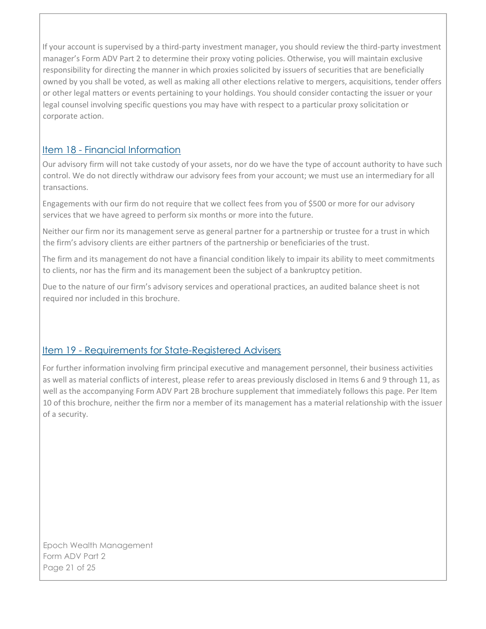If your account is supervised by a third-party investment manager, you should review the third-party investment manager's Form ADV Part 2 to determine their proxy voting policies. Otherwise, you will maintain exclusive responsibility for directing the manner in which proxies solicited by issuers of securities that are beneficially owned by you shall be voted, as well as making all other elections relative to mergers, acquisitions, tender offers or other legal matters or events pertaining to your holdings. You should consider contacting the issuer or your legal counsel involving specific questions you may have with respect to a particular proxy solicitation or corporate action.

## <span id="page-20-0"></span>Item 18 - Financial Information

Our advisory firm will not take custody of your assets, nor do we have the type of account authority to have such control. We do not directly withdraw our advisory fees from your account; we must use an intermediary for all transactions.

Engagements with our firm do not require that we collect fees from you of \$500 or more for our advisory services that we have agreed to perform six months or more into the future.

Neither our firm nor its management serve as general partner for a partnership or trustee for a trust in which the firm's advisory clients are either partners of the partnership or beneficiaries of the trust.

The firm and its management do not have a financial condition likely to impair its ability to meet commitments to clients, nor has the firm and its management been the subject of a bankruptcy petition.

Due to the nature of our firm's advisory services and operational practices, an audited balance sheet is not required nor included in this brochure.

## <span id="page-20-1"></span>Item 19 - Requirements for State-Registered Advisers

For further information involving firm principal executive and management personnel, their business activities as well as material conflicts of interest, please refer to areas previously disclosed in Items 6 and 9 through 11, as well as the accompanying Form ADV Part 2B brochure supplement that immediately follows this page. Per Item 10 of this brochure, neither the firm nor a member of its management has a material relationship with the issuer of a security.

Epoch Wealth Management Form ADV Part 2 Page 21 of 25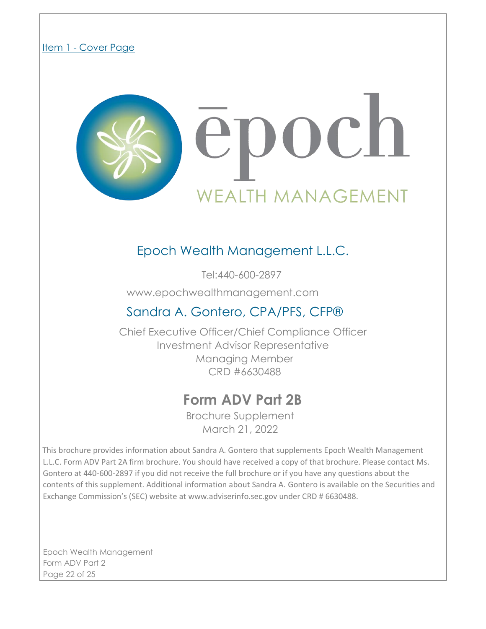#### Item 1 - Cover Page



## Epoch Wealth Management L.L.C.

Tel:440-600-2897

www.epochwealthmanagement.com

## Sandra A. Gontero, CPA/PFS, CFP®

Chief Executive Officer/Chief Compliance Officer Investment Advisor Representative Managing Member CRD #6630488

## **Form ADV Part 2B**

Brochure Supplement March 21, 2022

This brochure provides information about Sandra A. Gontero that supplements Epoch Wealth Management L.L.C. Form ADV Part 2A firm brochure. You should have received a copy of that brochure. Please contact Ms. Gontero at 440-600-2897 if you did not receive the full brochure or if you have any questions about the contents of this supplement. Additional information about Sandra A. Gontero is available on the Securities and Exchange Commission's (SEC) website at www.adviserinfo.sec.gov under CRD # 6630488.

Epoch Wealth Management Form ADV Part 2 Page 22 of 25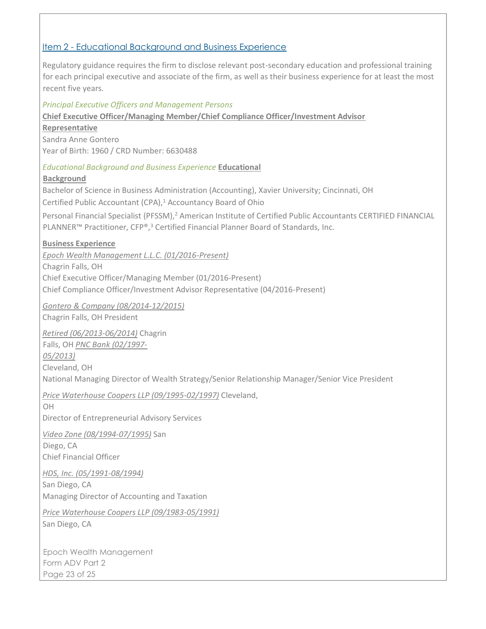#### Item 2 - Educational Background and Business Experience

Regulatory guidance requires the firm to disclose relevant post-secondary education and professional training for each principal executive and associate of the firm, as well as their business experience for at least the most recent five years.

#### *Principal Executive Officers and Management Persons*

**Chief Executive Officer/Managing Member/Chief Compliance Officer/Investment Advisor**

**Representative** Sandra Anne Gontero Year of Birth: 1960 / CRD Number: 6630488

*Educational Background and Business Experience* **Educational** 

#### **Background**

Bachelor of Science in Business Administration (Accounting), Xavier University; Cincinnati, OH

Certified Public Accountant (CPA),<sup>1</sup> Accountancy Board of Ohio

Personal Financial Specialist (PFSSM),<sup>2</sup> American Institute of Certified Public Accountants CERTIFIED FINANCIAL PLANNER™ Practitioner, CFP®,<sup>3</sup> Certified Financial Planner Board of Standards, Inc.

#### **Business Experience**

*Epoch Wealth Management L.L.C. (01/2016-Present)* Chagrin Falls, OH Chief Executive Officer/Managing Member (01/2016-Present) Chief Compliance Officer/Investment Advisor Representative (04/2016-Present)

*Gontero & Company (08/2014-12/2015)* Chagrin Falls, OH President

*Retired (06/2013-06/2014)* Chagrin Falls, OH *PNC Bank (02/1997- 05/2013)* Cleveland, OH National Managing Director of Wealth Strategy/Senior Relationship Manager/Senior Vice President

*Price Waterhouse Coopers LLP (09/1995-02/1997)* Cleveland,

OH Director of Entrepreneurial Advisory Services

*Video Zone (08/1994-07/1995)* San Diego, CA Chief Financial Officer

*HDS, Inc. (05/1991-08/1994)*

San Diego, CA Managing Director of Accounting and Taxation

*Price Waterhouse Coopers LLP (09/1983-05/1991)* San Diego, CA

Epoch Wealth Management Form ADV Part 2 Page 23 of 25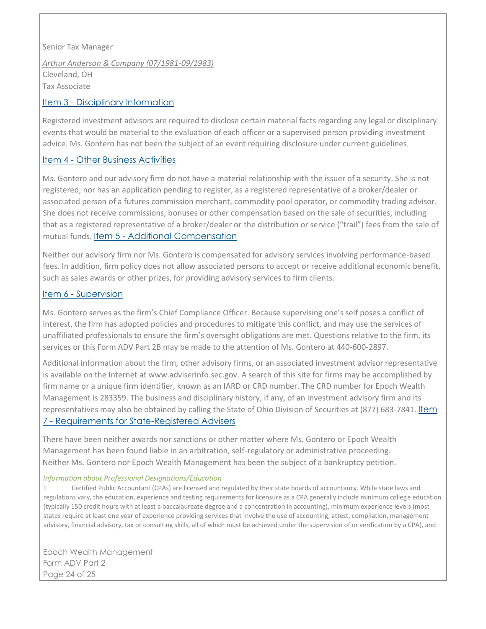Senior Tax Manager *Arthur Anderson & Company (07/1981-09/1983)* Cleveland, OH Tax Associate

#### Item 3 - Disciplinary Information

Registered investment advisors are required to disclose certain material facts regarding any legal or disciplinary events that would be material to the evaluation of each officer or a supervised person providing investment advice. Ms. Gontero has not been the subject of an event requiring disclosure under current guidelines.

#### Item 4 - Other Business Activities

Ms. Gontero and our advisory firm do not have a material relationship with the issuer of a security. She is not registered, nor has an application pending to register, as a registered representative of a broker/dealer or associated person of a futures commission merchant, commodity pool operator, or commodity trading advisor. She does not receive commissions, bonuses or other compensation based on the sale of securities, including that as a registered representative of a broker/dealer or the distribution or service ("trail") fees from the sale of mutual funds. Item 5 - Additional Compensation

Neither our advisory firm nor Ms. Gontero is compensated for advisory services involving performance-based fees. In addition, firm policy does not allow associated persons to accept or receive additional economic benefit, such as sales awards or other prizes, for providing advisory services to firm clients.

#### Item 6 - Supervision

Ms. Gontero serves as the firm's Chief Compliance Officer. Because supervising one's self poses a conflict of interest, the firm has adopted policies and procedures to mitigate this conflict, and may use the services of unaffiliated professionals to ensure the firm's oversight obligations are met. Questions relative to the firm, its services or this Form ADV Part 2B may be made to the attention of Ms. Gontero at 440-600-2897.

Additional information about the firm, other advisory firms, or an associated investment advisor representative is available on the Internet at www.adviserinfo.sec.gov. A search of this site for firms may be accomplished by firm name or a unique firm identifier, known as an IARD or CRD number. The CRD number for Epoch Wealth Management is 283359. The business and disciplinary history, if any, of an investment advisory firm and its representatives may also be obtained by calling the State of Ohio Division of Securities at (877) 683-7841. Item 7 - Requirements for State-Registered Advisers

There have been neither awards nor sanctions or other matter where Ms. Gontero or Epoch Wealth Management has been found liable in an arbitration, self-regulatory or administrative proceeding. Neither Ms. Gontero nor Epoch Wealth Management has been the subject of a bankruptcy petition.

#### *Information about Professional Designations/Education*

1 Certified Public Accountant (CPAs) are licensed and regulated by their state boards of accountancy. While state laws and regulations vary, the education, experience and testing requirements for licensure as a CPA generally include minimum college education (typically 150 credit hours with at least a baccalaureate degree and a concentration in accounting), minimum experience levels (most states require at least one year of experience providing services that involve the use of accounting, attest, compilation, management advisory, financial advisory, tax or consulting skills, all of which must be achieved under the supervision of or verification by a CPA), and

Epoch Wealth Management Form ADV Part 2 Page 24 of 25